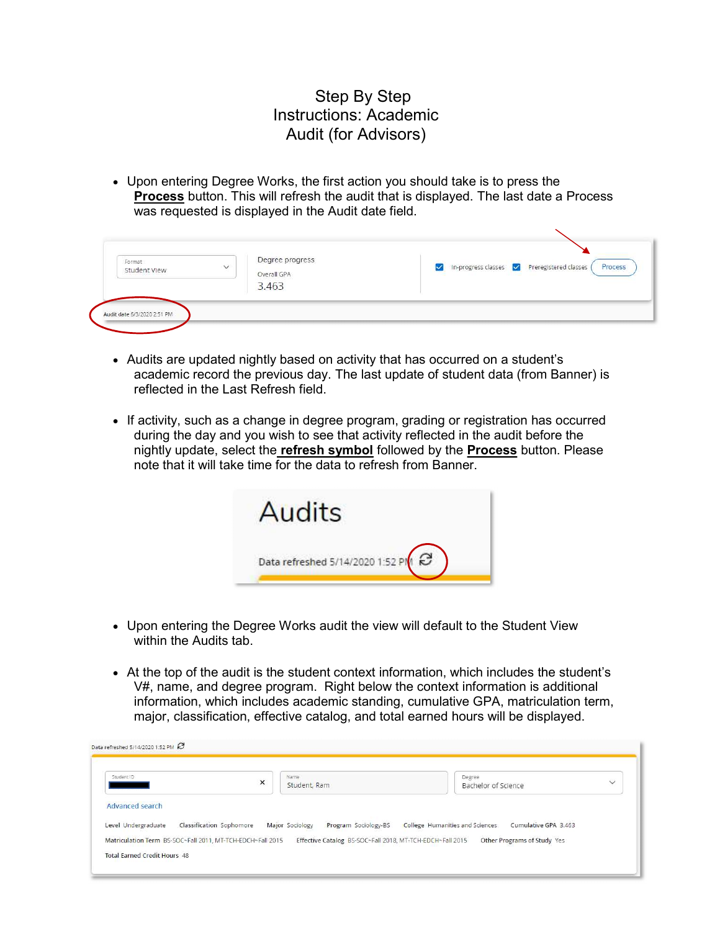## Step By Step Instructions: Academic Audit (for Advisors)

 Upon entering Degree Works, the first action you should take is to press the **Process** button. This will refresh the audit that is displayed. The last date a Process was requested is displayed in the Audit date field.

| Format<br>$\checkmark$<br>Student View | Degree progress<br>Overall GPA | In-progress classes V Preregistered classes<br>Process<br><b>TANK AND AND REAL</b> |
|----------------------------------------|--------------------------------|------------------------------------------------------------------------------------|
|                                        | 3.463                          |                                                                                    |

- Audits are updated nightly based on activity that has occurred on a student's academic record the previous day. The last update of student data (from Banner) is reflected in the Last Refresh field.
- If activity, such as a change in degree program, grading or registration has occurred during the day and you wish to see that activity reflected in the audit before the nightly update, select the **refresh symbol** followed by the **Process** button. Please note that it will take time for the data to refresh from Banner.



- Upon entering the Degree Works audit the view will default to the Student View within the Audits tab.
- At the top of the audit is the student context information, which includes the student's V#, name, and degree program. Right below the context information is additional information, which includes academic standing, cumulative GPA, matriculation term, major, classification, effective catalog, and total earned hours will be displayed.

| Student ID             | $\times$                 | Name                                    | Degree<br>$\checkmark$                                  |
|------------------------|--------------------------|-----------------------------------------|---------------------------------------------------------|
|                        |                          | Student, Ram                            | Bachelor of Science                                     |
| <b>Advanced search</b> |                          |                                         |                                                         |
| Level Undergraduate    | Classification Sophomore | Major Sociology<br>Program Sociology-BS | College Humanities and Sciences<br>Cumulative GPA 3.463 |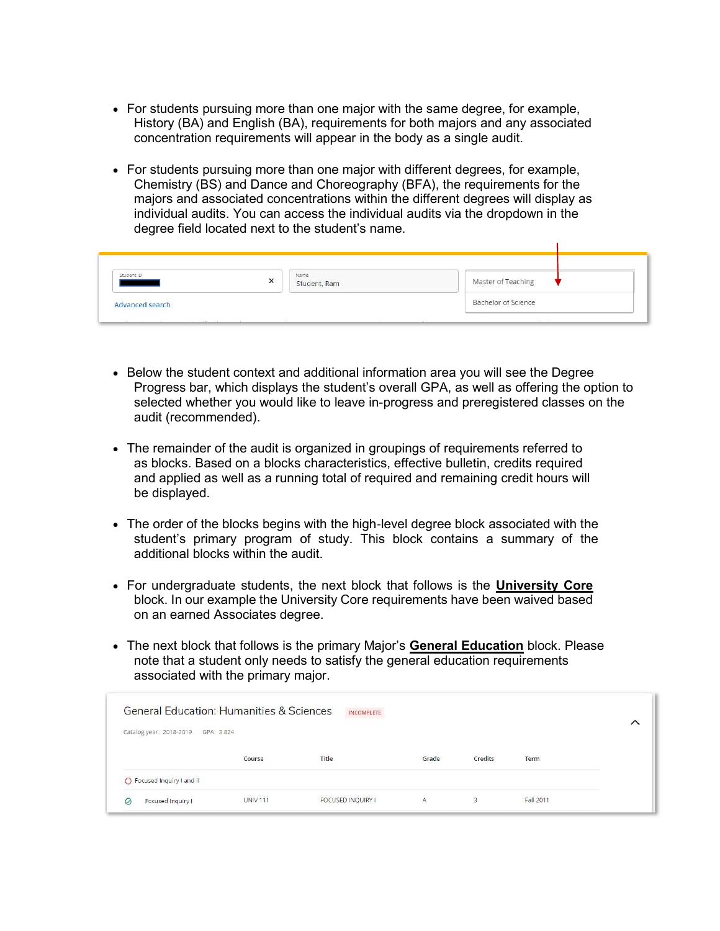- For students pursuing more than one major with the same degree, for example, History (BA) and English (BA), requirements for both majors and any associated concentration requirements will appear in the body as a single audit.
- For students pursuing more than one major with different degrees, for example, Chemistry (BS) and Dance and Choreography (BFA), the requirements for the majors and associated concentrations within the different degrees will display as individual audits. You can access the individual audits via the dropdown in the degree field located next to the student's name.

| Student ID      | Name<br>Student, Ram<br>$\sim$ | Master of Teaching  |
|-----------------|--------------------------------|---------------------|
| Advanced search |                                | Bachelor of Science |

- Below the student context and additional information area you will see the Degree Progress bar, which displays the student's overall GPA, as well as offering the option to selected whether you would like to leave in-progress and preregistered classes on the audit (recommended).
- The remainder of the audit is organized in groupings of requirements referred to as blocks. Based on a blocks characteristics, effective bulletin, credits required and applied as well as a running total of required and remaining credit hours will be displayed.
- The order of the blocks begins with the high‐level degree block associated with the student's primary program of study. This block contains a summary of the additional blocks within the audit.
- For undergraduate students, the next block that follows is the **University Core**  block. In our example the University Core requirements have been waived based on an earned Associates degree.
- The next block that follows is the primary Major's **General Education** block. Please note that a student only needs to satisfy the general education requirements associated with the primary major.

|         | <b>General Education: Humanities &amp; Sciences</b> |                 | INCOMPLETE               |       |         |           |  |
|---------|-----------------------------------------------------|-----------------|--------------------------|-------|---------|-----------|--|
|         | Catalog year: 2018-2019 GPA: 3.824                  |                 |                          |       |         |           |  |
|         |                                                     | Course          | Title                    | Grade | Credits | Term      |  |
|         | ◯ Focused Inquiry I and II                          |                 |                          |       |         |           |  |
| $\odot$ | Focused Inquiry I                                   | <b>UNIV 111</b> | <b>FOCUSED INQUIRY I</b> | A     | 3       | Fall 2011 |  |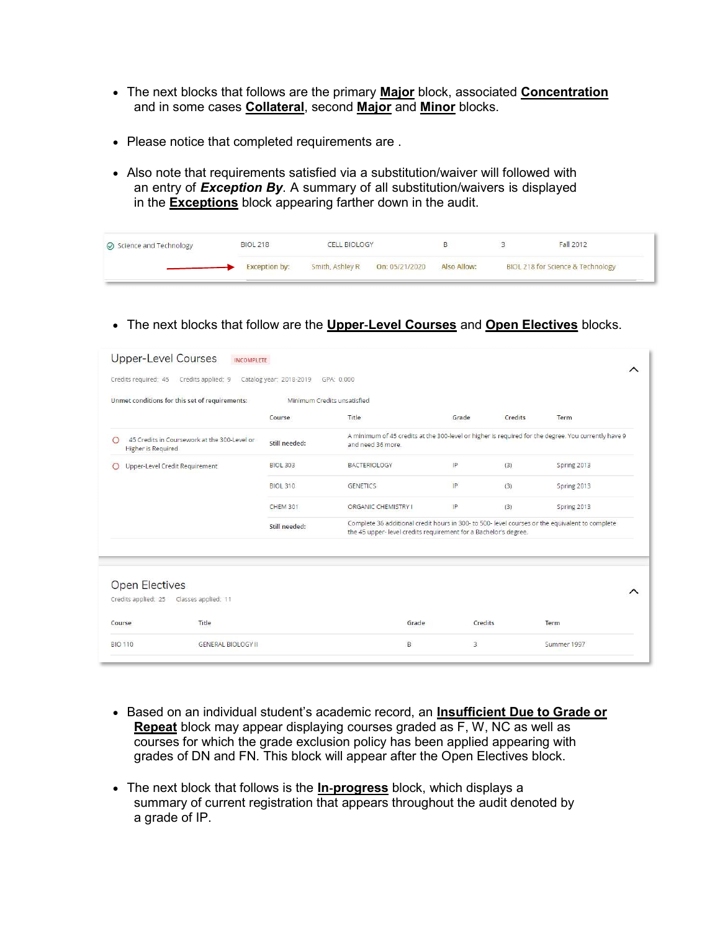- The next blocks that follows are the primary **Major** block, associated **Concentration** and in some cases Collateral, second Major and Minor blocks.
- Please notice that completed requirements are .
- Also note that requirements satisfied via a substitution/waiver will followed with an entry of Exception By. A summary of all substitution/waivers is displayed in the **Exceptions** block appearing farther down in the audit.

| Science and Technology | <b>BIOL 218</b>      | <b>CELL BIOLOGY</b> |                |             | <b>Fall 2012</b>                  |
|------------------------|----------------------|---------------------|----------------|-------------|-----------------------------------|
|                        | <b>Exception by:</b> | Smith, Ashley R     | On: 05/21/2020 | Also Allow: | BIOL 218 for Science & Technology |

• The next blocks that follow are the **Upper-Level Courses** and **Open Electives** blocks.

| <b>Upper-Level Courses</b><br><b>INCOMPLETE</b>                         |                         |                                                                                                                                                                    |                |         |             |   |
|-------------------------------------------------------------------------|-------------------------|--------------------------------------------------------------------------------------------------------------------------------------------------------------------|----------------|---------|-------------|---|
| Credits required: 45<br>Credits applied: 9                              | Catalog year: 2018-2019 | GPA: 0.000                                                                                                                                                         |                |         |             | ∧ |
| Unmet conditions for this set of requirements:                          |                         | Minimum Credits unsatisfied                                                                                                                                        |                |         |             |   |
|                                                                         | Course                  | Title                                                                                                                                                              | Grade          | Credits | Term        |   |
| 45 Credits in Coursework at the 300-Level or<br>∩<br>Higher is Required | Still needed:           | A minimum of 45 credits at the 300-level or higher is required for the degree. You currently have 9<br>and need 36 more.                                           |                |         |             |   |
| Upper-Level Credit Requirement                                          | <b>BIOL 303</b>         | <b>BACTERIOLOGY</b>                                                                                                                                                | IP             | (3)     | Spring 2013 |   |
|                                                                         | <b>BIOL 310</b>         | <b>GENETICS</b>                                                                                                                                                    | IP             | (3)     | Spring 2013 |   |
|                                                                         | <b>CHEM 301</b>         | ORGANIC CHEMISTRY I                                                                                                                                                | IP             | (3)     | Spring 2013 |   |
|                                                                         | Still needed:           | Complete 36 additional credit hours in 300- to 500- level courses or the equivalent to complete<br>the 45 upper-level credits requirement for a Bachelor's degree. |                |         |             |   |
|                                                                         |                         |                                                                                                                                                                    |                |         |             |   |
|                                                                         |                         |                                                                                                                                                                    |                |         |             |   |
| <b>Open Electives</b>                                                   |                         |                                                                                                                                                                    |                |         |             | ⌒ |
| Credits applied: 25<br>Classes applied: 11                              |                         |                                                                                                                                                                    |                |         |             |   |
| Title<br>Course                                                         |                         | Grade                                                                                                                                                              | Credits        |         | Term        |   |
| <b>BIO 110</b><br><b>GENERAL BIOLOGY II</b>                             |                         | B                                                                                                                                                                  | $\overline{3}$ |         | Summer 1997 |   |
|                                                                         |                         |                                                                                                                                                                    |                |         |             |   |

- Repeat block may appear displaying courses graded as F, W, NC as well as courses for which the grade exclusion policy has been applied appearing with grades of DN and FN. This block will appear after the Open Electives block. • Based on an individual student's academic record, an Insufficient Due to Grade or
- The next block that follows is the In-progress block, which displays a summary of current registration that appears throughout the audit denoted by a grade of IP.